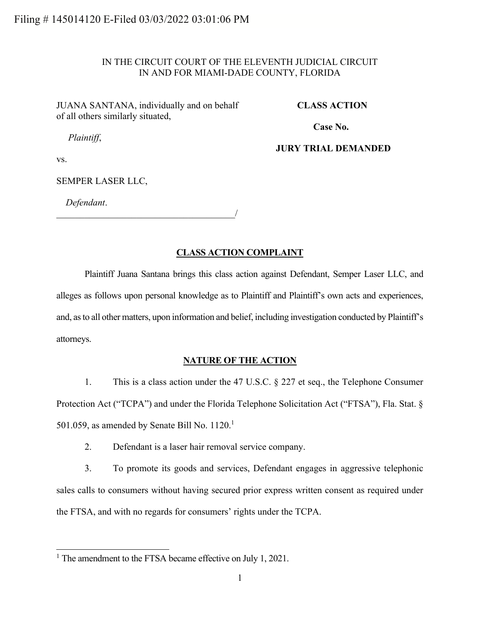## IN THE CIRCUIT COURT OF THE ELEVENTH JUDICIAL CIRCUIT IN AND FOR MIAMI-DADE COUNTY, FLORIDA

JUANA SANTANA, individually and on behalf of all others similarly situated,

#### **CLASS ACTION**

**Case No.** 

*Plaintiff*,

**JURY TRIAL DEMANDED**

vs.

SEMPER LASER LLC,

*Defendant*.

 $\overline{\phantom{a}}$ 

## **CLASS ACTION COMPLAINT**

Plaintiff Juana Santana brings this class action against Defendant, Semper Laser LLC, and alleges as follows upon personal knowledge as to Plaintiff and Plaintiff's own acts and experiences, and, as to all other matters, upon information and belief, including investigation conducted by Plaintiff's attorneys.

#### **NATURE OF THE ACTION**

1. This is a class action under the 47 U.S.C. § 227 et seq., the Telephone Consumer Protection Act ("TCPA") and under the Florida Telephone Solicitation Act ("FTSA"), Fla. Stat. § 501.059, as amended by Senate Bill No.  $1120.<sup>1</sup>$ 

2. Defendant is a laser hair removal service company.

3. To promote its goods and services, Defendant engages in aggressive telephonic sales calls to consumers without having secured prior express written consent as required under the FTSA, and with no regards for consumers' rights under the TCPA.

<sup>&</sup>lt;sup>1</sup> The amendment to the FTSA became effective on July 1, 2021.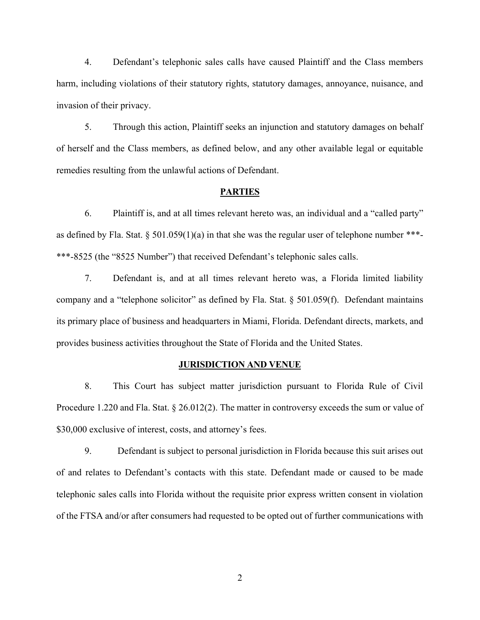4. Defendant's telephonic sales calls have caused Plaintiff and the Class members harm, including violations of their statutory rights, statutory damages, annoyance, nuisance, and invasion of their privacy.

5. Through this action, Plaintiff seeks an injunction and statutory damages on behalf of herself and the Class members, as defined below, and any other available legal or equitable remedies resulting from the unlawful actions of Defendant.

#### **PARTIES**

6. Plaintiff is, and at all times relevant hereto was, an individual and a "called party" as defined by Fla. Stat. § 501.059(1)(a) in that she was the regular user of telephone number \*\*\*- \*\*\*-8525 (the "8525 Number") that received Defendant's telephonic sales calls.

7. Defendant is, and at all times relevant hereto was, a Florida limited liability company and a "telephone solicitor" as defined by Fla. Stat. § 501.059(f). Defendant maintains its primary place of business and headquarters in Miami, Florida. Defendant directs, markets, and provides business activities throughout the State of Florida and the United States.

## **JURISDICTION AND VENUE**

8. This Court has subject matter jurisdiction pursuant to Florida Rule of Civil Procedure 1.220 and Fla. Stat. § 26.012(2). The matter in controversy exceeds the sum or value of \$30,000 exclusive of interest, costs, and attorney's fees.

9. Defendant is subject to personal jurisdiction in Florida because this suit arises out of and relates to Defendant's contacts with this state. Defendant made or caused to be made telephonic sales calls into Florida without the requisite prior express written consent in violation of the FTSA and/or after consumers had requested to be opted out of further communications with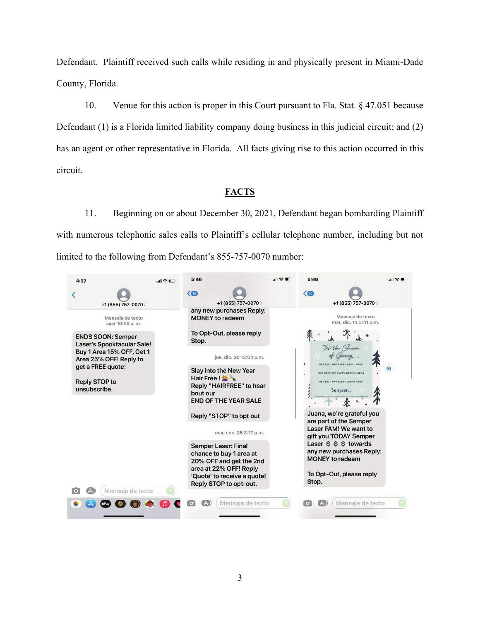Defendant. Plaintiff received such calls while residing in and physically present in Miami-Dade County, Florida.

10. Venue for this action is proper in this Court pursuant to Fla. Stat. § 47.051 because Defendant (1) is a Florida limited liability company doing business in this judicial circuit; and (2) has an agent or other representative in Florida. All facts giving rise to this action occurred in this circuit.

# **FACTS**

11. Beginning on or about December 30, 2021, Defendant began bombarding Plaintiff with numerous telephonic sales calls to Plaintiff's cellular telephone number, including but not limited to the following from Defendant's 855-757-0070 number:

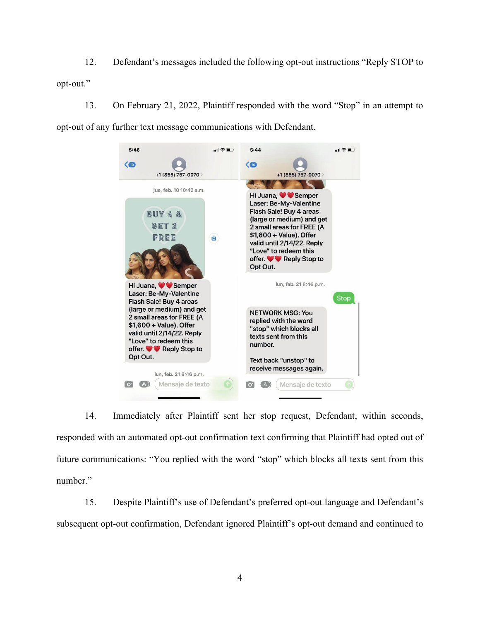12. Defendant's messages included the following opt-out instructions "Reply STOP to opt-out."

13. On February 21, 2022, Plaintiff responded with the word "Stop" in an attempt to opt-out of any further text message communications with Defendant.



14. Immediately after Plaintiff sent her stop request, Defendant, within seconds, responded with an automated opt-out confirmation text confirming that Plaintiff had opted out of future communications: "You replied with the word "stop" which blocks all texts sent from this number."

15. Despite Plaintiff's use of Defendant's preferred opt-out language and Defendant's subsequent opt-out confirmation, Defendant ignored Plaintiff's opt-out demand and continued to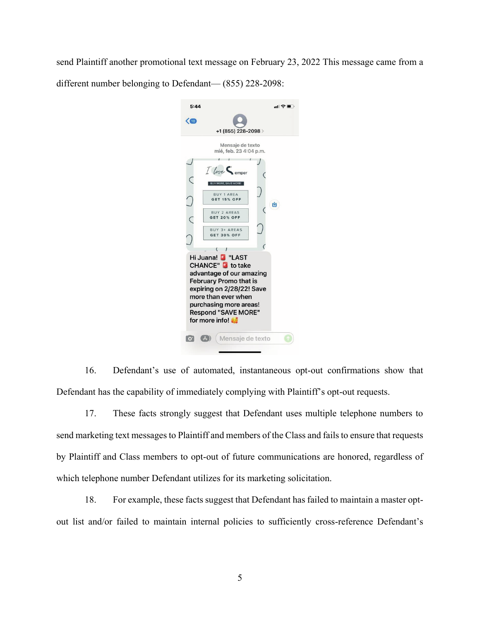send Plaintiff another promotional text message on February 23, 2022 This message came from a different number belonging to Defendant— (855) 228-2098:



16. Defendant's use of automated, instantaneous opt-out confirmations show that Defendant has the capability of immediately complying with Plaintiff's opt-out requests.

17. These facts strongly suggest that Defendant uses multiple telephone numbers to send marketing text messages to Plaintiff and members of the Class and fails to ensure that requests by Plaintiff and Class members to opt-out of future communications are honored, regardless of which telephone number Defendant utilizes for its marketing solicitation.

18. For example, these facts suggest that Defendant has failed to maintain a master optout list and/or failed to maintain internal policies to sufficiently cross-reference Defendant's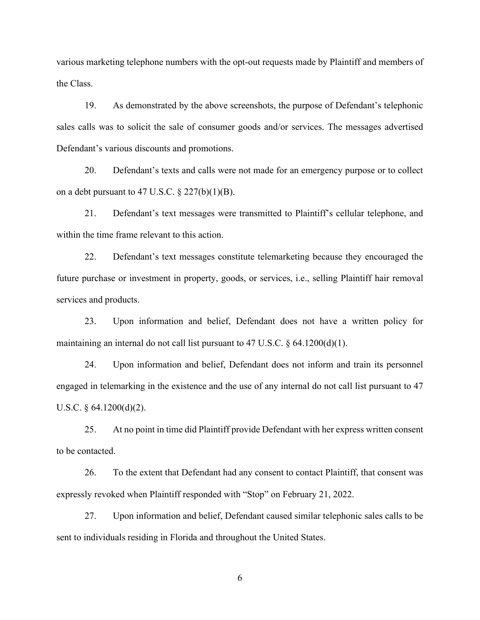various marketing telephone numbers with the opt-out requests made by Plaintiff and members of the Class.

19. As demonstrated by the above screenshots, the purpose of Defendant's telephonic sales calls was to solicit the sale of consumer goods and/or services. The messages advertised Defendant's various discounts and promotions.

20. Defendant's texts and calls were not made for an emergency purpose or to collect on a debt pursuant to 47 U.S.C.  $\S$  227(b)(1)(B).

21. Defendant's text messages were transmitted to Plaintiff's cellular telephone, and within the time frame relevant to this action.

22. Defendant's text messages constitute telemarketing because they encouraged the future purchase or investment in property, goods, or services, i.e., selling Plaintiff hair removal services and products.

23. Upon information and belief, Defendant does not have a written policy for maintaining an internal do not call list pursuant to 47 U.S.C. § 64.1200(d)(1).

24. Upon information and belief, Defendant does not inform and train its personnel engaged in telemarking in the existence and the use of any internal do not call list pursuant to 47 U.S.C.  $\S$  64.1200(d)(2).

25. At no point in time did Plaintiff provide Defendant with her express written consent to be contacted.

26. To the extent that Defendant had any consent to contact Plaintiff, that consent was expressly revoked when Plaintiff responded with "Stop" on February 21, 2022.

27. Upon information and belief, Defendant caused similar telephonic sales calls to be sent to individuals residing in Florida and throughout the United States.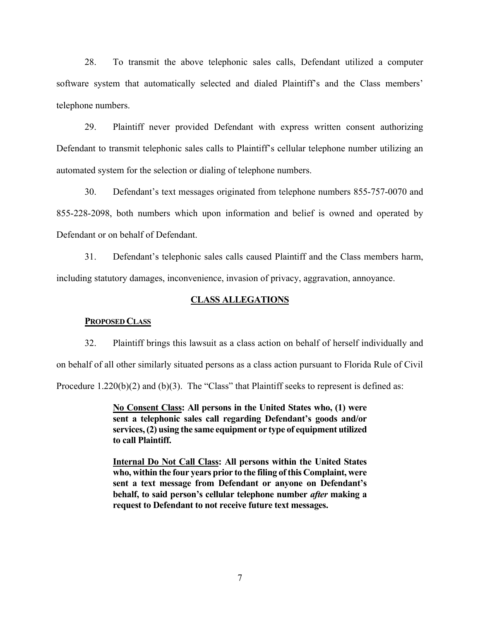28. To transmit the above telephonic sales calls, Defendant utilized a computer software system that automatically selected and dialed Plaintiff's and the Class members' telephone numbers.

29. Plaintiff never provided Defendant with express written consent authorizing Defendant to transmit telephonic sales calls to Plaintiff's cellular telephone number utilizing an automated system for the selection or dialing of telephone numbers.

30. Defendant's text messages originated from telephone numbers 855-757-0070 and 855-228-2098, both numbers which upon information and belief is owned and operated by Defendant or on behalf of Defendant.

31. Defendant's telephonic sales calls caused Plaintiff and the Class members harm, including statutory damages, inconvenience, invasion of privacy, aggravation, annoyance.

## **CLASS ALLEGATIONS**

#### **PROPOSED CLASS**

32. Plaintiff brings this lawsuit as a class action on behalf of herself individually and on behalf of all other similarly situated persons as a class action pursuant to Florida Rule of Civil Procedure 1.220(b)(2) and (b)(3). The "Class" that Plaintiff seeks to represent is defined as:

> **No Consent Class: All persons in the United States who, (1) were sent a telephonic sales call regarding Defendant's goods and/or services, (2) using the same equipment or type of equipment utilized to call Plaintiff.**

> **Internal Do Not Call Class: All persons within the United States who, within the four years prior to the filing of this Complaint, were sent a text message from Defendant or anyone on Defendant's behalf, to said person's cellular telephone number** *after* **making a request to Defendant to not receive future text messages.**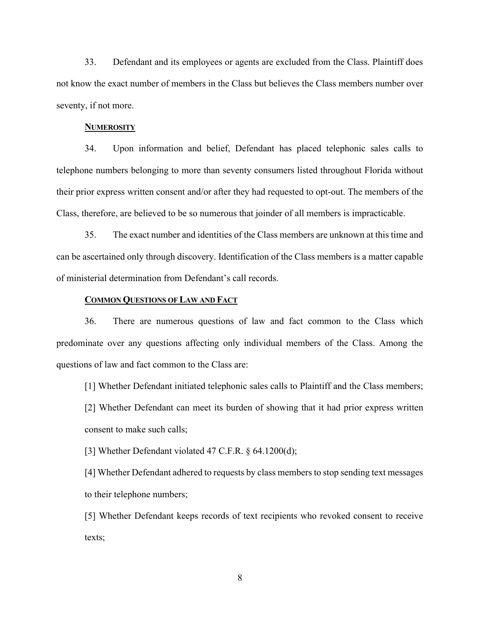33. Defendant and its employees or agents are excluded from the Class. Plaintiff does not know the exact number of members in the Class but believes the Class members number over seventy, if not more.

#### **NUMEROSITY**

34. Upon information and belief, Defendant has placed telephonic sales calls to telephone numbers belonging to more than seventy consumers listed throughout Florida without their prior express written consent and/or after they had requested to opt-out. The members of the Class, therefore, are believed to be so numerous that joinder of all members is impracticable.

35. The exact number and identities of the Class members are unknown at this time and can be ascertained only through discovery. Identification of the Class members is a matter capable of ministerial determination from Defendant's call records.

## **COMMON QUESTIONS OF LAW AND FACT**

36. There are numerous questions of law and fact common to the Class which predominate over any questions affecting only individual members of the Class. Among the questions of law and fact common to the Class are:

[1] Whether Defendant initiated telephonic sales calls to Plaintiff and the Class members; [2] Whether Defendant can meet its burden of showing that it had prior express written consent to make such calls;

[3] Whether Defendant violated 47 C.F.R. § 64.1200(d);

[4] Whether Defendant adhered to requests by class members to stop sending text messages to their telephone numbers;

[5] Whether Defendant keeps records of text recipients who revoked consent to receive texts;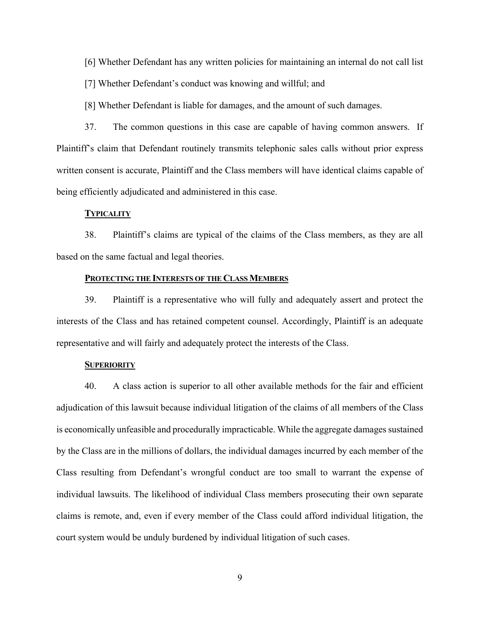[6] Whether Defendant has any written policies for maintaining an internal do not call list

[7] Whether Defendant's conduct was knowing and willful; and

[8] Whether Defendant is liable for damages, and the amount of such damages.

37. The common questions in this case are capable of having common answers. If Plaintiff's claim that Defendant routinely transmits telephonic sales calls without prior express written consent is accurate, Plaintiff and the Class members will have identical claims capable of being efficiently adjudicated and administered in this case.

#### **TYPICALITY**

38. Plaintiff's claims are typical of the claims of the Class members, as they are all based on the same factual and legal theories.

### **PROTECTING THE INTERESTS OF THE CLASS MEMBERS**

39. Plaintiff is a representative who will fully and adequately assert and protect the interests of the Class and has retained competent counsel. Accordingly, Plaintiff is an adequate representative and will fairly and adequately protect the interests of the Class.

#### **SUPERIORITY**

40. A class action is superior to all other available methods for the fair and efficient adjudication of this lawsuit because individual litigation of the claims of all members of the Class is economically unfeasible and procedurally impracticable. While the aggregate damages sustained by the Class are in the millions of dollars, the individual damages incurred by each member of the Class resulting from Defendant's wrongful conduct are too small to warrant the expense of individual lawsuits. The likelihood of individual Class members prosecuting their own separate claims is remote, and, even if every member of the Class could afford individual litigation, the court system would be unduly burdened by individual litigation of such cases.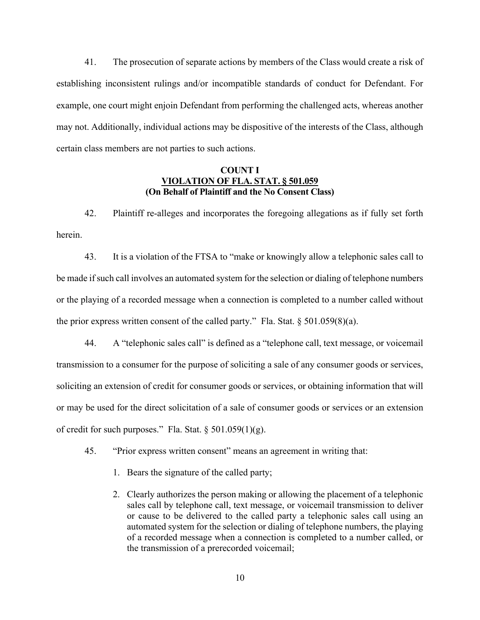41. The prosecution of separate actions by members of the Class would create a risk of establishing inconsistent rulings and/or incompatible standards of conduct for Defendant. For example, one court might enjoin Defendant from performing the challenged acts, whereas another may not. Additionally, individual actions may be dispositive of the interests of the Class, although certain class members are not parties to such actions.

## **COUNT I VIOLATION OF FLA. STAT. § 501.059 (On Behalf of Plaintiff and the No Consent Class)**

42. Plaintiff re-alleges and incorporates the foregoing allegations as if fully set forth herein.

43. It is a violation of the FTSA to "make or knowingly allow a telephonic sales call to be made if such call involves an automated system for the selection or dialing of telephone numbers or the playing of a recorded message when a connection is completed to a number called without the prior express written consent of the called party." Fla. Stat.  $\S 501.059(8)(a)$ .

44. A "telephonic sales call" is defined as a "telephone call, text message, or voicemail transmission to a consumer for the purpose of soliciting a sale of any consumer goods or services, soliciting an extension of credit for consumer goods or services, or obtaining information that will or may be used for the direct solicitation of a sale of consumer goods or services or an extension of credit for such purposes." Fla. Stat. § 501.059(1)(g).

- 45. "Prior express written consent" means an agreement in writing that:
	- 1. Bears the signature of the called party;
	- 2. Clearly authorizes the person making or allowing the placement of a telephonic sales call by telephone call, text message, or voicemail transmission to deliver or cause to be delivered to the called party a telephonic sales call using an automated system for the selection or dialing of telephone numbers, the playing of a recorded message when a connection is completed to a number called, or the transmission of a prerecorded voicemail;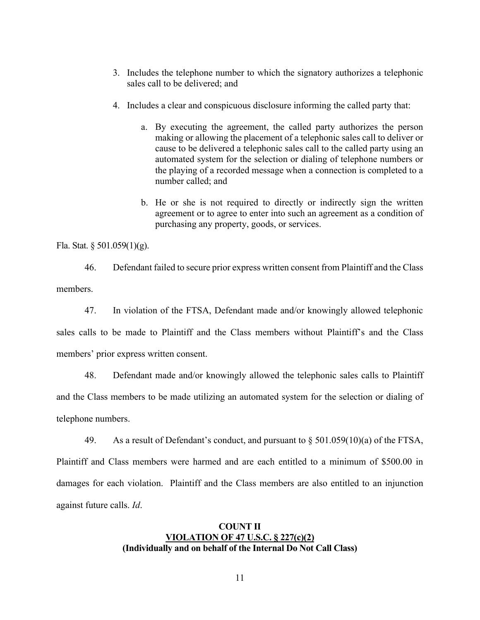- 3. Includes the telephone number to which the signatory authorizes a telephonic sales call to be delivered; and
- 4. Includes a clear and conspicuous disclosure informing the called party that:
	- a. By executing the agreement, the called party authorizes the person making or allowing the placement of a telephonic sales call to deliver or cause to be delivered a telephonic sales call to the called party using an automated system for the selection or dialing of telephone numbers or the playing of a recorded message when a connection is completed to a number called; and
	- b. He or she is not required to directly or indirectly sign the written agreement or to agree to enter into such an agreement as a condition of purchasing any property, goods, or services.

Fla. Stat. § 501.059(1)(g).

46. Defendant failed to secure prior express written consent from Plaintiff and the Class members.

47. In violation of the FTSA, Defendant made and/or knowingly allowed telephonic sales calls to be made to Plaintiff and the Class members without Plaintiff's and the Class members' prior express written consent.

48. Defendant made and/or knowingly allowed the telephonic sales calls to Plaintiff and the Class members to be made utilizing an automated system for the selection or dialing of telephone numbers.

49. As a result of Defendant's conduct, and pursuant to  $\S 501.059(10)(a)$  of the FTSA,

Plaintiff and Class members were harmed and are each entitled to a minimum of \$500.00 in damages for each violation. Plaintiff and the Class members are also entitled to an injunction against future calls. *Id*.

# **COUNT II VIOLATION OF 47 U.S.C. § 227(c)(2) (Individually and on behalf of the Internal Do Not Call Class)**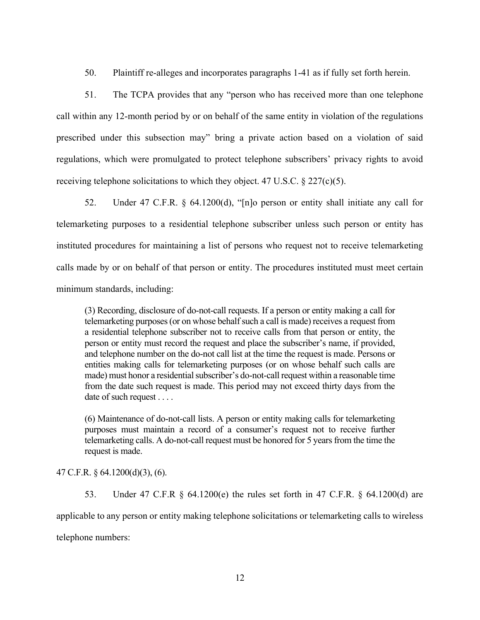50. Plaintiff re-alleges and incorporates paragraphs 1-41 as if fully set forth herein.

51. The TCPA provides that any "person who has received more than one telephone call within any 12-month period by or on behalf of the same entity in violation of the regulations prescribed under this subsection may" bring a private action based on a violation of said regulations, which were promulgated to protect telephone subscribers' privacy rights to avoid receiving telephone solicitations to which they object. 47 U.S.C.  $\S 227(c)(5)$ .

52. Under 47 C.F.R. § 64.1200(d), "[n]o person or entity shall initiate any call for telemarketing purposes to a residential telephone subscriber unless such person or entity has instituted procedures for maintaining a list of persons who request not to receive telemarketing calls made by or on behalf of that person or entity. The procedures instituted must meet certain minimum standards, including:

(3) Recording, disclosure of do-not-call requests. If a person or entity making a call for telemarketing purposes (or on whose behalf such a call is made) receives a request from a residential telephone subscriber not to receive calls from that person or entity, the person or entity must record the request and place the subscriber's name, if provided, and telephone number on the do-not call list at the time the request is made. Persons or entities making calls for telemarketing purposes (or on whose behalf such calls are made) must honor a residential subscriber's do-not-call request within a reasonable time from the date such request is made. This period may not exceed thirty days from the date of such request . . . .

(6) Maintenance of do-not-call lists. A person or entity making calls for telemarketing purposes must maintain a record of a consumer's request not to receive further telemarketing calls. A do-not-call request must be honored for 5 years from the time the request is made.

## 47 C.F.R. § 64.1200(d)(3), (6).

53. Under 47 C.F.R § 64.1200(e) the rules set forth in 47 C.F.R. § 64.1200(d) are applicable to any person or entity making telephone solicitations or telemarketing calls to wireless telephone numbers: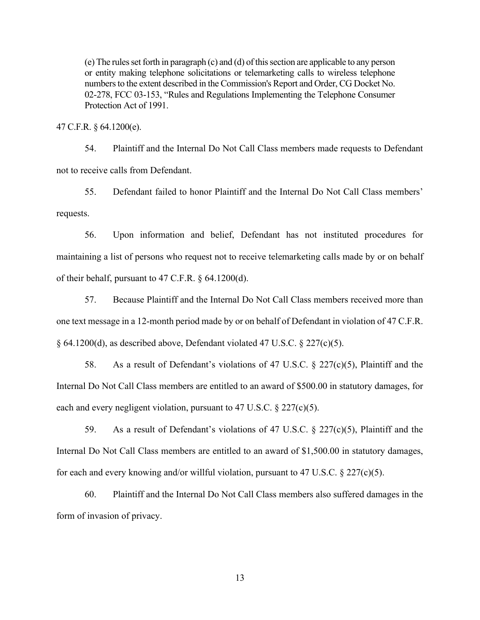(e) The rules set forth in paragraph (c) and (d) of this section are applicable to any person or entity making telephone solicitations or telemarketing calls to wireless telephone numbers to the extent described in the Commission's Report and Order, CG Docket No. 02-278, FCC 03-153, "Rules and Regulations Implementing the Telephone Consumer Protection Act of 1991.

47 C.F.R. § 64.1200(e).

54. Plaintiff and the Internal Do Not Call Class members made requests to Defendant not to receive calls from Defendant.

55. Defendant failed to honor Plaintiff and the Internal Do Not Call Class members' requests.

56. Upon information and belief, Defendant has not instituted procedures for maintaining a list of persons who request not to receive telemarketing calls made by or on behalf of their behalf, pursuant to 47 C.F.R. § 64.1200(d).

57. Because Plaintiff and the Internal Do Not Call Class members received more than one text message in a 12-month period made by or on behalf of Defendant in violation of 47 C.F.R. § 64.1200(d), as described above, Defendant violated 47 U.S.C. § 227(c)(5).

58. As a result of Defendant's violations of 47 U.S.C. § 227(c)(5), Plaintiff and the Internal Do Not Call Class members are entitled to an award of \$500.00 in statutory damages, for each and every negligent violation, pursuant to 47 U.S.C. § 227(c)(5).

59. As a result of Defendant's violations of 47 U.S.C. § 227(c)(5), Plaintiff and the Internal Do Not Call Class members are entitled to an award of \$1,500.00 in statutory damages, for each and every knowing and/or willful violation, pursuant to 47 U.S.C.  $\S 227(c)(5)$ .

60. Plaintiff and the Internal Do Not Call Class members also suffered damages in the form of invasion of privacy.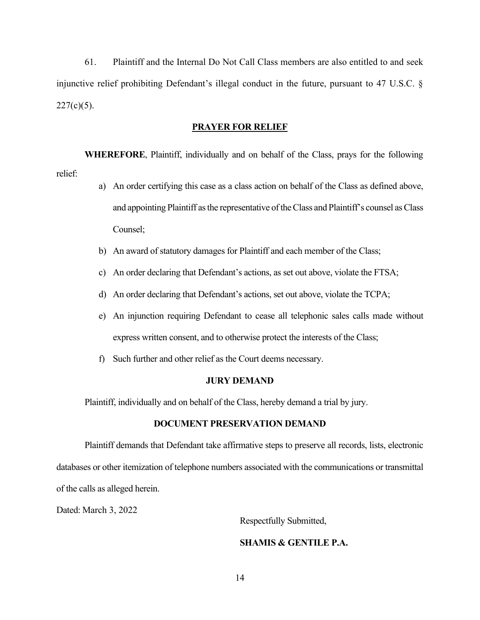61. Plaintiff and the Internal Do Not Call Class members are also entitled to and seek injunctive relief prohibiting Defendant's illegal conduct in the future, pursuant to 47 U.S.C. §  $227(c)(5)$ .

#### **PRAYER FOR RELIEF**

**WHEREFORE**, Plaintiff, individually and on behalf of the Class, prays for the following relief:

- a) An order certifying this case as a class action on behalf of the Class as defined above, and appointing Plaintiff as the representative of the Class and Plaintiff's counsel as Class Counsel;
- b) An award of statutory damages for Plaintiff and each member of the Class;
- c) An order declaring that Defendant's actions, as set out above, violate the FTSA;
- d) An order declaring that Defendant's actions, set out above, violate the TCPA;
- e) An injunction requiring Defendant to cease all telephonic sales calls made without express written consent, and to otherwise protect the interests of the Class;
- f) Such further and other relief as the Court deems necessary.

### **JURY DEMAND**

Plaintiff, individually and on behalf of the Class, hereby demand a trial by jury.

## **DOCUMENT PRESERVATION DEMAND**

Plaintiff demands that Defendant take affirmative steps to preserve all records, lists, electronic databases or other itemization of telephone numbers associated with the communications or transmittal of the calls as alleged herein.

Dated: March 3, 2022

Respectfully Submitted,

# **SHAMIS & GENTILE P.A.**